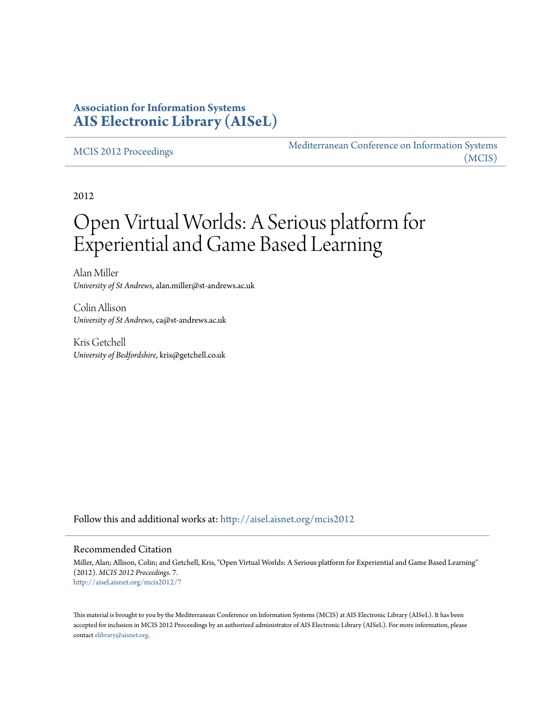## **Association for Information Systems [AIS Electronic Library \(AISeL\)](http://aisel.aisnet.org?utm_source=aisel.aisnet.org%2Fmcis2012%2F7&utm_medium=PDF&utm_campaign=PDFCoverPages)**

#### [MCIS 2012 Proceedings](http://aisel.aisnet.org/mcis2012?utm_source=aisel.aisnet.org%2Fmcis2012%2F7&utm_medium=PDF&utm_campaign=PDFCoverPages)

[Mediterranean Conference on Information Systems](http://aisel.aisnet.org/mcis?utm_source=aisel.aisnet.org%2Fmcis2012%2F7&utm_medium=PDF&utm_campaign=PDFCoverPages) [\(MCIS\)](http://aisel.aisnet.org/mcis?utm_source=aisel.aisnet.org%2Fmcis2012%2F7&utm_medium=PDF&utm_campaign=PDFCoverPages)

2012

# Open Virtual Worlds: A Serious platform for Experiential and Game Based Learning

Alan Miller *University of St Andrews*, alan.miller@st-andrews.ac.uk

Colin Allison *University of St Andrews*, ca@st-andrews.ac.uk

Kris Getchell *University of Bedfordshire*, kris@getchell.co.uk

Follow this and additional works at: [http://aisel.aisnet.org/mcis2012](http://aisel.aisnet.org/mcis2012?utm_source=aisel.aisnet.org%2Fmcis2012%2F7&utm_medium=PDF&utm_campaign=PDFCoverPages)

#### Recommended Citation

Miller, Alan; Allison, Colin; and Getchell, Kris, "Open Virtual Worlds: A Serious platform for Experiential and Game Based Learning" (2012). *MCIS 2012 Proceedings*. 7. [http://aisel.aisnet.org/mcis2012/7](http://aisel.aisnet.org/mcis2012/7?utm_source=aisel.aisnet.org%2Fmcis2012%2F7&utm_medium=PDF&utm_campaign=PDFCoverPages)

This material is brought to you by the Mediterranean Conference on Information Systems (MCIS) at AIS Electronic Library (AISeL). It has been accepted for inclusion in MCIS 2012 Proceedings by an authorized administrator of AIS Electronic Library (AISeL). For more information, please contact [elibrary@aisnet.org.](mailto:elibrary@aisnet.org%3E)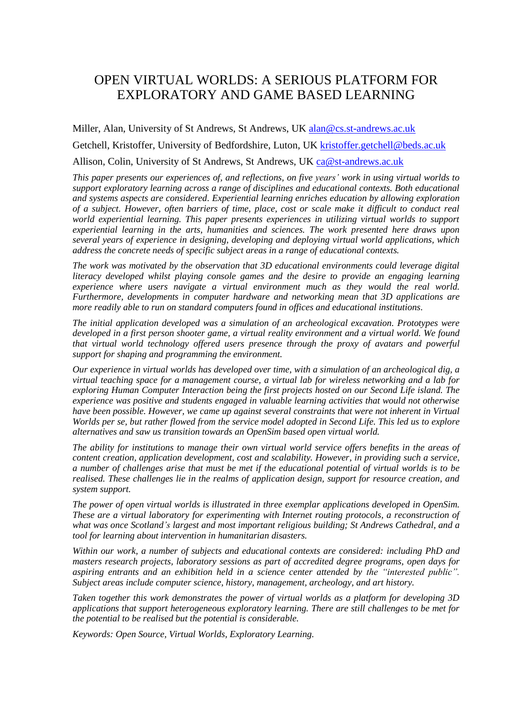# OPEN VIRTUAL WORLDS: A SERIOUS PLATFORM FOR EXPLORATORY AND GAME BASED LEARNING

Miller, Alan, University of St Andrews, St Andrews, UK [alan@cs.st-andrews.ac.uk](mailto:alan@cs.st-andrews.ac.uk) Getchell, Kristoffer, University of Bedfordshire, Luton, UK [kristoffer.getchell@beds.ac.uk](mailto:kristoffer.getchell@beds.ac.uk)

Allison, Colin, University of St Andrews, St Andrews, UK [ca@st-andrews.ac.uk](mailto:ca@st-andrews.ac.uk)

*This paper presents our experiences of, and reflections, on five years' work in using virtual worlds to support exploratory learning across a range of disciplines and educational contexts. Both educational and systems aspects are considered. Experiential learning enriches education by allowing exploration of a subject. However, often barriers of time, place, cost or scale make it difficult to conduct real world experiential learning. This paper presents experiences in utilizing virtual worlds to support experiential learning in the arts, humanities and sciences. The work presented here draws upon several years of experience in designing, developing and deploying virtual world applications, which address the concrete needs of specific subject areas in a range of educational contexts.*

*The work was motivated by the observation that 3D educational environments could leverage digital literacy developed whilst playing console games and the desire to provide an engaging learning experience where users navigate a virtual environment much as they would the real world. Furthermore, developments in computer hardware and networking mean that 3D applications are more readily able to run on standard computers found in offices and educational institutions.* 

*The initial application developed was a simulation of an archeological excavation. Prototypes were developed in a first person shooter game, a virtual reality environment and a virtual world. We found that virtual world technology offered users presence through the proxy of avatars and powerful support for shaping and programming the environment.* 

*Our experience in virtual worlds has developed over time, with a simulation of an archeological dig, a virtual teaching space for a management course, a virtual lab for wireless networking and a lab for exploring Human Computer Interaction being the first projects hosted on our Second Life island. The experience was positive and students engaged in valuable learning activities that would not otherwise have been possible. However, we came up against several constraints that were not inherent in Virtual Worlds per se, but rather flowed from the service model adopted in Second Life. This led us to explore alternatives and saw us transition towards an OpenSim based open virtual world.*

*The ability for institutions to manage their own virtual world service offers benefits in the areas of content creation, application development, cost and scalability. However, in providing such a service, a number of challenges arise that must be met if the educational potential of virtual worlds is to be realised. These challenges lie in the realms of application design, support for resource creation, and system support.*

*The power of open virtual worlds is illustrated in three exemplar applications developed in OpenSim. These are a virtual laboratory for experimenting with Internet routing protocols, a reconstruction of what was once Scotland's largest and most important religious building; St Andrews Cathedral, and a tool for learning about intervention in humanitarian disasters.*

*Within our work, a number of subjects and educational contexts are considered: including PhD and masters research projects, laboratory sessions as part of accredited degree programs, open days for aspiring entrants and an exhibition held in a science center attended by the "interested public". Subject areas include computer science, history, management, archeology, and art history.* 

*Taken together this work demonstrates the power of virtual worlds as a platform for developing 3D applications that support heterogeneous exploratory learning. There are still challenges to be met for the potential to be realised but the potential is considerable.* 

*Keywords: Open Source, Virtual Worlds, Exploratory Learning.*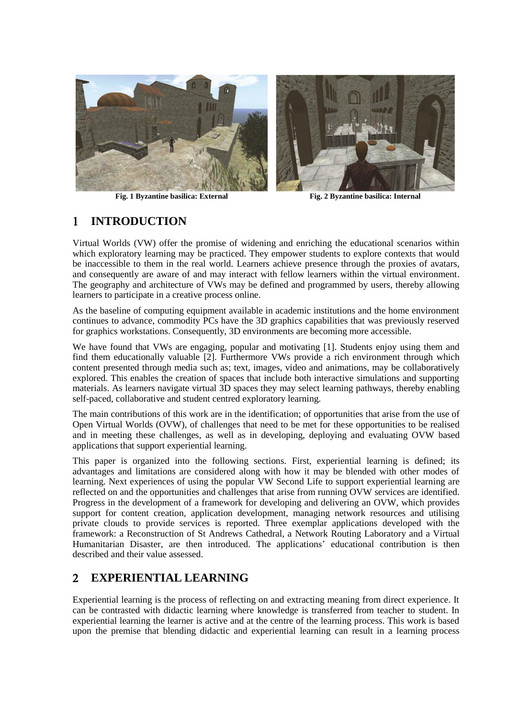



**Fig. 1 Byzantine basilica: External Fig. 2 Byzantine basilica: Internal**

## **INTRODUCTION**

Virtual Worlds (VW) offer the promise of widening and enriching the educational scenarios within which exploratory learning may be practiced. They empower students to explore contexts that would be inaccessible to them in the real world. Learners achieve presence through the proxies of avatars, and consequently are aware of and may interact with fellow learners within the virtual environment. The geography and architecture of VWs may be defined and programmed by users, thereby allowing learners to participate in a creative process online.

As the baseline of computing equipment available in academic institutions and the home environment continues to advance, commodity PCs have the 3D graphics capabilities that was previously reserved for graphics workstations. Consequently, 3D environments are becoming more accessible.

We have found that VWs are engaging, popular and motivating [1]. Students enjoy using them and find them educationally valuable [2]. Furthermore VWs provide a rich environment through which content presented through media such as; text, images, video and animations, may be collaboratively explored. This enables the creation of spaces that include both interactive simulations and supporting materials. As learners navigate virtual 3D spaces they may select learning pathways, thereby enabling self-paced, collaborative and student centred exploratory learning.

The main contributions of this work are in the identification; of opportunities that arise from the use of Open Virtual Worlds (OVW), of challenges that need to be met for these opportunities to be realised and in meeting these challenges, as well as in developing, deploying and evaluating OVW based applications that support experiential learning.

This paper is organized into the following sections. First, experiential learning is defined; its advantages and limitations are considered along with how it may be blended with other modes of learning. Next experiences of using the popular VW Second Life to support experiential learning are reflected on and the opportunities and challenges that arise from running OVW services are identified. Progress in the development of a framework for developing and delivering an OVW, which provides support for content creation, application development, managing network resources and utilising private clouds to provide services is reported. Three exemplar applications developed with the framework: a Reconstruction of St Andrews Cathedral, a Network Routing Laboratory and a Virtual Humanitarian Disaster, are then introduced. The applications' educational contribution is then described and their value assessed.

## **EXPERIENTIAL LEARNING**

Experiential learning is the process of reflecting on and extracting meaning from direct experience. It can be contrasted with didactic learning where knowledge is transferred from teacher to student. In experiential learning the learner is active and at the centre of the learning process. This work is based upon the premise that blending didactic and experiential learning can result in a learning process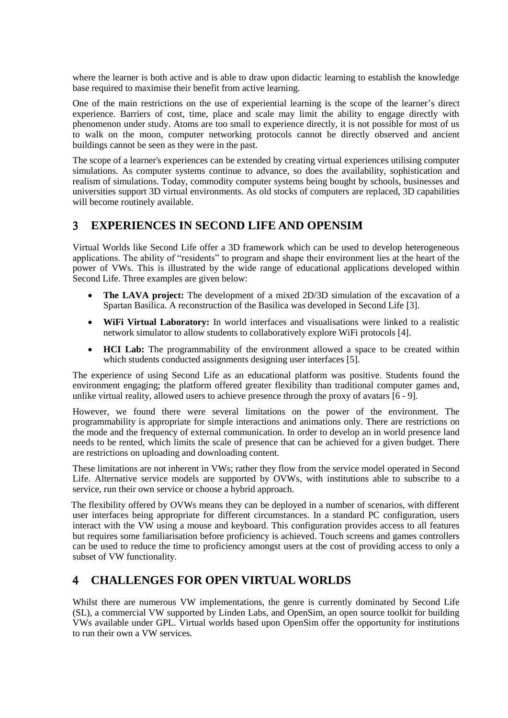where the learner is both active and is able to draw upon didactic learning to establish the knowledge base required to maximise their benefit from active learning.

One of the main restrictions on the use of experiential learning is the scope of the learner's direct experience. Barriers of cost, time, place and scale may limit the ability to engage directly with phenomenon under study. Atoms are too small to experience directly, it is not possible for most of us to walk on the moon, computer networking protocols cannot be directly observed and ancient buildings cannot be seen as they were in the past.

The scope of a learner's experiences can be extended by creating virtual experiences utilising computer simulations. As computer systems continue to advance, so does the availability, sophistication and realism of simulations. Today, commodity computer systems being bought by schools, businesses and universities support 3D virtual environments. As old stocks of computers are replaced, 3D capabilities will become routinely available.

## **EXPERIENCES IN SECOND LIFE AND OPENSIM**

Virtual Worlds like Second Life offer a 3D framework which can be used to develop heterogeneous applications. The ability of "residents" to program and shape their environment lies at the heart of the power of VWs. This is illustrated by the wide range of educational applications developed within Second Life. Three examples are given below:

- **The LAVA project:** The development of a mixed 2D/3D simulation of the excavation of a Spartan Basilica. A reconstruction of the Basilica was developed in Second Life [3].
- **WiFi Virtual Laboratory:** In world interfaces and visualisations were linked to a realistic network simulator to allow students to collaboratively explore WiFi protocols [4].
- **HCI Lab:** The programmability of the environment allowed a space to be created within which students conducted assignments designing user interfaces [5].

The experience of using Second Life as an educational platform was positive. Students found the environment engaging; the platform offered greater flexibility than traditional computer games and, unlike virtual reality, allowed users to achieve presence through the proxy of avatars [6 - 9]*.* 

However, we found there were several limitations on the power of the environment. The programmability is appropriate for simple interactions and animations only. There are restrictions on the mode and the frequency of external communication. In order to develop an in world presence land needs to be rented, which limits the scale of presence that can be achieved for a given budget. There are restrictions on uploading and downloading content.

These limitations are not inherent in VWs; rather they flow from the service model operated in Second Life. Alternative service models are supported by OVWs, with institutions able to subscribe to a service, run their own service or choose a hybrid approach.

The flexibility offered by OVWs means they can be deployed in a number of scenarios, with different user interfaces being appropriate for different circumstances. In a standard PC configuration, users interact with the VW using a mouse and keyboard. This configuration provides access to all features but requires some familiarisation before proficiency is achieved. Touch screens and games controllers can be used to reduce the time to proficiency amongst users at the cost of providing access to only a subset of VW functionality.

## **CHALLENGES FOR OPEN VIRTUAL WORLDS**

Whilst there are numerous VW implementations, the genre is currently dominated by Second Life (SL), a commercial VW supported by Linden Labs, and OpenSim, an open source toolkit for building VWs available under GPL. Virtual worlds based upon OpenSim offer the opportunity for institutions to run their own a VW services.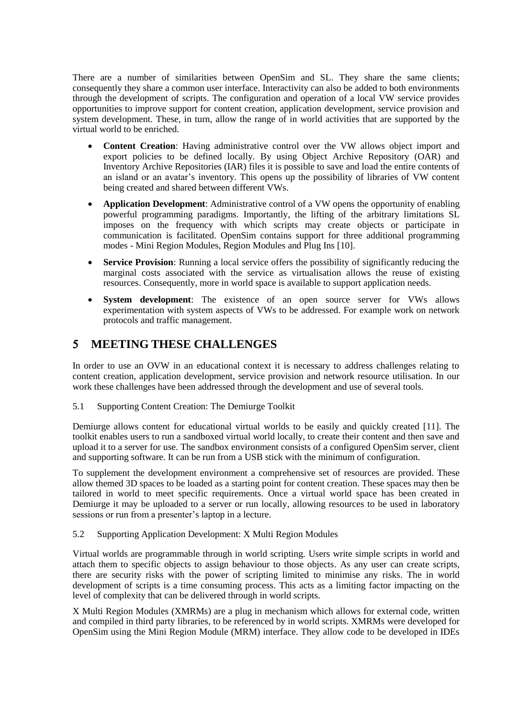There are a number of similarities between OpenSim and SL. They share the same clients; consequently they share a common user interface. Interactivity can also be added to both environments through the development of scripts. The configuration and operation of a local VW service provides opportunities to improve support for content creation, application development, service provision and system development. These, in turn, allow the range of in world activities that are supported by the virtual world to be enriched.

- **Content Creation**: Having administrative control over the VW allows object import and export policies to be defined locally. By using Object Archive Repository (OAR) and Inventory Archive Repositories (IAR) files it is possible to save and load the entire contents of an island or an avatar's inventory. This opens up the possibility of libraries of VW content being created and shared between different VWs.
- **Application Development**: Administrative control of a VW opens the opportunity of enabling powerful programming paradigms. Importantly, the lifting of the arbitrary limitations SL imposes on the frequency with which scripts may create objects or participate in communication is facilitated. OpenSim contains support for three additional programming modes - Mini Region Modules, Region Modules and Plug Ins [10].
- **Service Provision**: Running a local service offers the possibility of significantly reducing the marginal costs associated with the service as virtualisation allows the reuse of existing resources. Consequently, more in world space is available to support application needs.
- **System development**: The existence of an open source server for VWs allows experimentation with system aspects of VWs to be addressed. For example work on network protocols and traffic management.

## **MEETING THESE CHALLENGES**

In order to use an OVW in an educational context it is necessary to address challenges relating to content creation, application development, service provision and network resource utilisation. In our work these challenges have been addressed through the development and use of several tools.

5.1 Supporting Content Creation: The Demiurge Toolkit

Demiurge allows content for educational virtual worlds to be easily and quickly created [11]. The toolkit enables users to run a sandboxed virtual world locally, to create their content and then save and upload it to a server for use. The sandbox environment consists of a configured OpenSim server, client and supporting software. It can be run from a USB stick with the minimum of configuration.

To supplement the development environment a comprehensive set of resources are provided. These allow themed 3D spaces to be loaded as a starting point for content creation. These spaces may then be tailored in world to meet specific requirements. Once a virtual world space has been created in Demiurge it may be uploaded to a server or run locally, allowing resources to be used in laboratory sessions or run from a presenter's laptop in a lecture.

5.2 Supporting Application Development: X Multi Region Modules

Virtual worlds are programmable through in world scripting. Users write simple scripts in world and attach them to specific objects to assign behaviour to those objects. As any user can create scripts, there are security risks with the power of scripting limited to minimise any risks. The in world development of scripts is a time consuming process. This acts as a limiting factor impacting on the level of complexity that can be delivered through in world scripts.

X Multi Region Modules (XMRMs) are a plug in mechanism which allows for external code, written and compiled in third party libraries, to be referenced by in world scripts. XMRMs were developed for OpenSim using the Mini Region Module (MRM) interface. They allow code to be developed in IDEs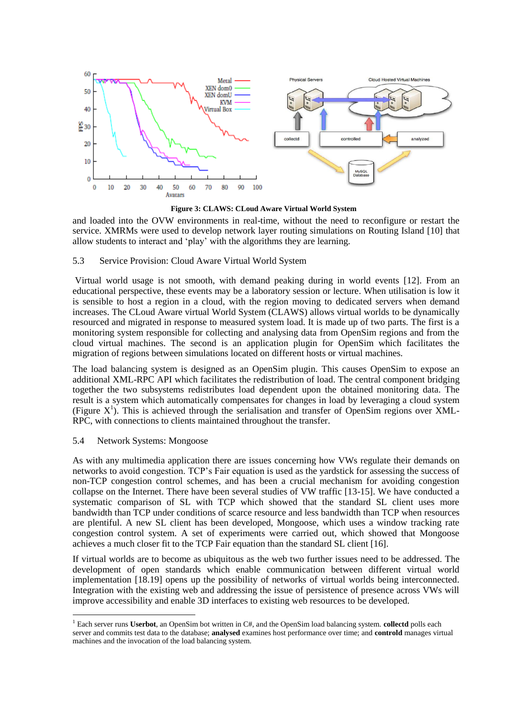

**Figure 3: CLAWS: CLoud Aware Virtual World System**

and loaded into the OVW environments in real-time, without the need to reconfigure or restart the service. XMRMs were used to develop network layer routing simulations on Routing Island [10] that allow students to interact and 'play' with the algorithms they are learning.

#### 5.3 Service Provision: Cloud Aware Virtual World System

Virtual world usage is not smooth, with demand peaking during in world events [12]. From an educational perspective, these events may be a laboratory session or lecture. When utilisation is low it is sensible to host a region in a cloud, with the region moving to dedicated servers when demand increases. The CLoud Aware virtual World System (CLAWS) allows virtual worlds to be dynamically resourced and migrated in response to measured system load. It is made up of two parts. The first is a monitoring system responsible for collecting and analysing data from OpenSim regions and from the cloud virtual machines. The second is an application plugin for OpenSim which facilitates the migration of regions between simulations located on different hosts or virtual machines.

The load balancing system is designed as an OpenSim plugin. This causes OpenSim to expose an additional XML-RPC API which facilitates the redistribution of load. The central component bridging together the two subsystems redistributes load dependent upon the obtained monitoring data. The result is a system which automatically compensates for changes in load by leveraging a cloud system (Figure X<sup>1</sup>). This is achieved through the serialisation and transfer of OpenSim regions over XML-RPC, with connections to clients maintained throughout the transfer.

#### 5.4 Network Systems: Mongoose

 $\overline{a}$ 

As with any multimedia application there are issues concerning how VWs regulate their demands on networks to avoid congestion. TCP's Fair equation is used as the yardstick for assessing the success of non-TCP congestion control schemes, and has been a crucial mechanism for avoiding congestion collapse on the Internet. There have been several studies of VW traffic [13-15]. We have conducted a systematic comparison of SL with TCP which showed that the standard SL client uses more bandwidth than TCP under conditions of scarce resource and less bandwidth than TCP when resources are plentiful. A new SL client has been developed, Mongoose, which uses a window tracking rate congestion control system. A set of experiments were carried out, which showed that Mongoose achieves a much closer fit to the TCP Fair equation than the standard SL client [16].

If virtual worlds are to become as ubiquitous as the web two further issues need to be addressed. The development of open standards which enable communication between different virtual world implementation [18.19] opens up the possibility of networks of virtual worlds being interconnected. Integration with the existing web and addressing the issue of persistence of presence across VWs will improve accessibility and enable 3D interfaces to existing web resources to be developed.

<sup>&</sup>lt;sup>1</sup> Each server runs **Userbot**, an OpenSim bot written in C#, and the OpenSim load balancing system. **collectd** polls each server and commits test data to the database; **analysed** examines host performance over time; and **controld** manages virtual machines and the invocation of the load balancing system.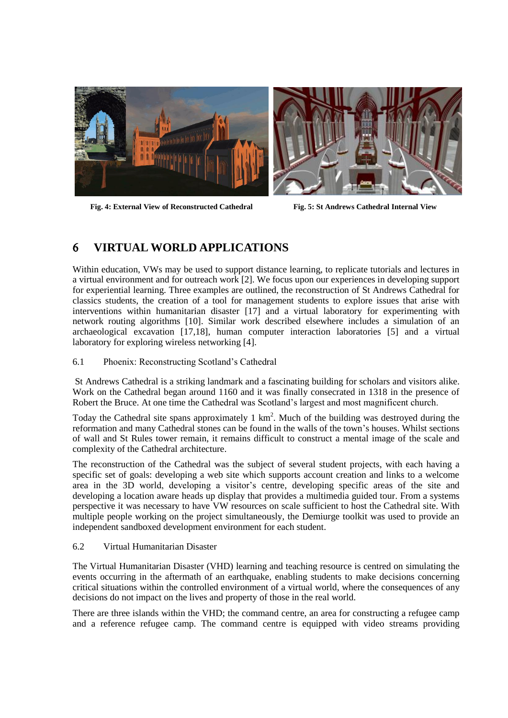

**Fig. 4: External View of Reconstructed Cathedral Fig. 5: St Andrews Cathedral Internal View**

## **VIRTUAL WORLD APPLICATIONS**

Within education, VWs may be used to support distance learning, to replicate tutorials and lectures in a virtual environment and for outreach work [2]. We focus upon our experiences in developing support for experiential learning. Three examples are outlined, the reconstruction of St Andrews Cathedral for classics students, the creation of a tool for management students to explore issues that arise with interventions within humanitarian disaster [17] and a virtual laboratory for experimenting with network routing algorithms [10]. Similar work described elsewhere includes a simulation of an archaeological excavation [17,18], human computer interaction laboratories [5] and a virtual laboratory for exploring wireless networking [4].

6.1 Phoenix: Reconstructing Scotland's Cathedral

St Andrews Cathedral is a striking landmark and a fascinating building for scholars and visitors alike. Work on the Cathedral began around 1160 and it was finally consecrated in 1318 in the presence of Robert the Bruce. At one time the Cathedral was Scotland's largest and most magnificent church.

Today the Cathedral site spans approximately 1  $km^2$ . Much of the building was destroyed during the reformation and many Cathedral stones can be found in the walls of the town's houses. Whilst sections of wall and St Rules tower remain, it remains difficult to construct a mental image of the scale and complexity of the Cathedral architecture.

The reconstruction of the Cathedral was the subject of several student projects, with each having a specific set of goals: developing a web site which supports account creation and links to a welcome area in the 3D world, developing a visitor's centre, developing specific areas of the site and developing a location aware heads up display that provides a multimedia guided tour. From a systems perspective it was necessary to have VW resources on scale sufficient to host the Cathedral site. With multiple people working on the project simultaneously, the Demiurge toolkit was used to provide an independent sandboxed development environment for each student.

#### 6.2 Virtual Humanitarian Disaster

The Virtual Humanitarian Disaster (VHD) learning and teaching resource is centred on simulating the events occurring in the aftermath of an earthquake, enabling students to make decisions concerning critical situations within the controlled environment of a virtual world, where the consequences of any decisions do not impact on the lives and property of those in the real world.

There are three islands within the VHD; the command centre, an area for constructing a refugee camp and a reference refugee camp. The command centre is equipped with video streams providing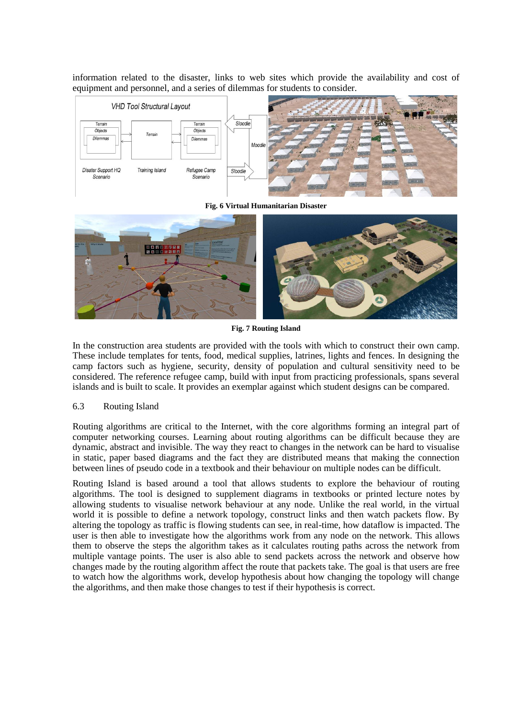information related to the disaster, links to web sites which provide the availability and cost of equipment and personnel, and a series of dilemmas for students to consider.



**Fig. 6 Virtual Humanitarian Disaster**



**Fig. 7 Routing Island**

In the construction area students are provided with the tools with which to construct their own camp. These include templates for tents, food, medical supplies, latrines, lights and fences. In designing the camp factors such as hygiene, security, density of population and cultural sensitivity need to be considered. The reference refugee camp, build with input from practicing professionals, spans several islands and is built to scale. It provides an exemplar against which student designs can be compared.

#### 6.3 Routing Island

Routing algorithms are critical to the Internet, with the core algorithms forming an integral part of computer networking courses. Learning about routing algorithms can be difficult because they are dynamic, abstract and invisible. The way they react to changes in the network can be hard to visualise in static, paper based diagrams and the fact they are distributed means that making the connection between lines of pseudo code in a textbook and their behaviour on multiple nodes can be difficult.

Routing Island is based around a tool that allows students to explore the behaviour of routing algorithms. The tool is designed to supplement diagrams in textbooks or printed lecture notes by allowing students to visualise network behaviour at any node. Unlike the real world, in the virtual world it is possible to define a network topology, construct links and then watch packets flow. By altering the topology as traffic is flowing students can see, in real-time, how dataflow is impacted. The user is then able to investigate how the algorithms work from any node on the network. This allows them to observe the steps the algorithm takes as it calculates routing paths across the network from multiple vantage points. The user is also able to send packets across the network and observe how changes made by the routing algorithm affect the route that packets take. The goal is that users are free to watch how the algorithms work, develop hypothesis about how changing the topology will change the algorithms, and then make those changes to test if their hypothesis is correct.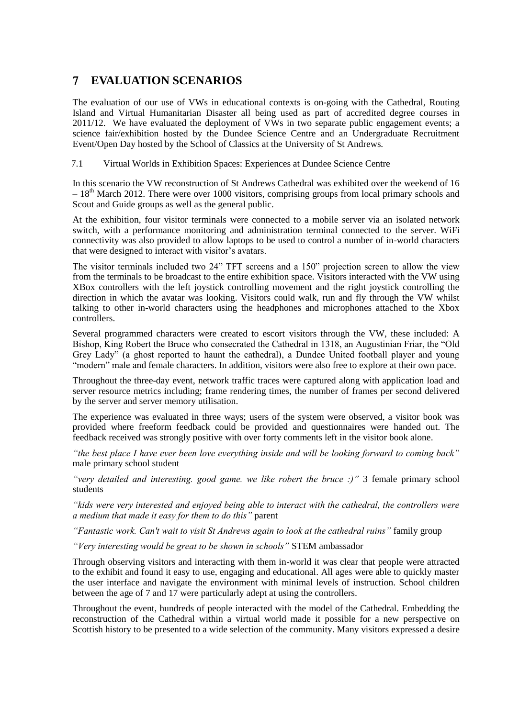## **EVALUATION SCENARIOS**

The evaluation of our use of VWs in educational contexts is on-going with the Cathedral, Routing Island and Virtual Humanitarian Disaster all being used as part of accredited degree courses in 2011/12. We have evaluated the deployment of VWs in two separate public engagement events; a science fair/exhibition hosted by the Dundee Science Centre and an Undergraduate Recruitment Event/Open Day hosted by the School of Classics at the University of St Andrews.

7.1 Virtual Worlds in Exhibition Spaces: Experiences at Dundee Science Centre

In this scenario the VW reconstruction of St Andrews Cathedral was exhibited over the weekend of 16  $-18<sup>th</sup>$  March 2012. There were over 1000 visitors, comprising groups from local primary schools and Scout and Guide groups as well as the general public.

At the exhibition, four visitor terminals were connected to a mobile server via an isolated network switch, with a performance monitoring and administration terminal connected to the server. WiFi connectivity was also provided to allow laptops to be used to control a number of in-world characters that were designed to interact with visitor's avatars.

The visitor terminals included two 24" TFT screens and a 150" projection screen to allow the view from the terminals to be broadcast to the entire exhibition space. Visitors interacted with the VW using XBox controllers with the left joystick controlling movement and the right joystick controlling the direction in which the avatar was looking. Visitors could walk, run and fly through the VW whilst talking to other in-world characters using the headphones and microphones attached to the Xbox controllers.

Several programmed characters were created to escort visitors through the VW, these included: A Bishop, King Robert the Bruce who consecrated the Cathedral in 1318, an Augustinian Friar, the "Old Grey Lady" (a ghost reported to haunt the cathedral), a Dundee United football player and young "modern" male and female characters. In addition, visitors were also free to explore at their own pace.

Throughout the three-day event, network traffic traces were captured along with application load and server resource metrics including; frame rendering times, the number of frames per second delivered by the server and server memory utilisation.

The experience was evaluated in three ways; users of the system were observed, a visitor book was provided where freeform feedback could be provided and questionnaires were handed out. The feedback received was strongly positive with over forty comments left in the visitor book alone.

*"the best place I have ever been love everything inside and will be looking forward to coming back"* male primary school student

*"very detailed and interesting. good game. we like robert the bruce :)"* 3 female primary school students

*"kids were very interested and enjoyed being able to interact with the cathedral, the controllers were a medium that made it easy for them to do this"* parent

*"Fantastic work. Can't wait to visit St Andrews again to look at the cathedral ruins"* family group

*"Very interesting would be great to be shown in schools"* STEM ambassador

Through observing visitors and interacting with them in-world it was clear that people were attracted to the exhibit and found it easy to use, engaging and educational. All ages were able to quickly master the user interface and navigate the environment with minimal levels of instruction. School children between the age of 7 and 17 were particularly adept at using the controllers.

Throughout the event, hundreds of people interacted with the model of the Cathedral. Embedding the reconstruction of the Cathedral within a virtual world made it possible for a new perspective on Scottish history to be presented to a wide selection of the community. Many visitors expressed a desire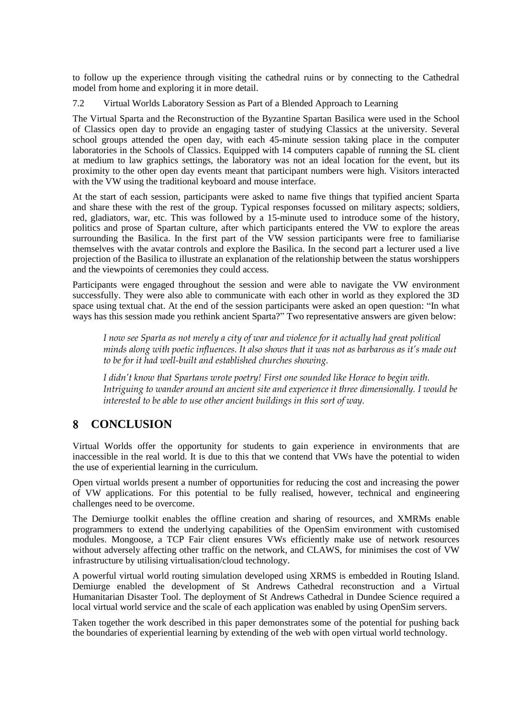to follow up the experience through visiting the cathedral ruins or by connecting to the Cathedral model from home and exploring it in more detail.

7.2 Virtual Worlds Laboratory Session as Part of a Blended Approach to Learning

The Virtual Sparta and the Reconstruction of the Byzantine Spartan Basilica were used in the School of Classics open day to provide an engaging taster of studying Classics at the university. Several school groups attended the open day, with each 45-minute session taking place in the computer laboratories in the Schools of Classics. Equipped with 14 computers capable of running the SL client at medium to law graphics settings, the laboratory was not an ideal location for the event, but its proximity to the other open day events meant that participant numbers were high. Visitors interacted with the VW using the traditional keyboard and mouse interface.

At the start of each session, participants were asked to name five things that typified ancient Sparta and share these with the rest of the group. Typical responses focussed on military aspects; soldiers, red, gladiators, war, etc. This was followed by a 15-minute used to introduce some of the history, politics and prose of Spartan culture, after which participants entered the VW to explore the areas surrounding the Basilica. In the first part of the VW session participants were free to familiarise themselves with the avatar controls and explore the Basilica. In the second part a lecturer used a live projection of the Basilica to illustrate an explanation of the relationship between the status worshippers and the viewpoints of ceremonies they could access.

Participants were engaged throughout the session and were able to navigate the VW environment successfully. They were also able to communicate with each other in world as they explored the 3D space using textual chat. At the end of the session participants were asked an open question: "In what ways has this session made you rethink ancient Sparta?" Two representative answers are given below:

*I now see Sparta as not merely a city of war and violence for it actually had great political minds along with poetic influences. It also shows that it was not as barbarous as it's made out to be for it had well-built and established churches showing.*

*I didn't know that Spartans wrote poetry! First one sounded like Horace to begin with. Intriguing to wander around an ancient site and experience it three dimensionally. I would be interested to be able to use other ancient buildings in this sort of way.*

## **CONCLUSION**

Virtual Worlds offer the opportunity for students to gain experience in environments that are inaccessible in the real world. It is due to this that we contend that VWs have the potential to widen the use of experiential learning in the curriculum.

Open virtual worlds present a number of opportunities for reducing the cost and increasing the power of VW applications. For this potential to be fully realised, however, technical and engineering challenges need to be overcome.

The Demiurge toolkit enables the offline creation and sharing of resources, and XMRMs enable programmers to extend the underlying capabilities of the OpenSim environment with customised modules. Mongoose, a TCP Fair client ensures VWs efficiently make use of network resources without adversely affecting other traffic on the network, and CLAWS, for minimises the cost of VW infrastructure by utilising virtualisation/cloud technology.

A powerful virtual world routing simulation developed using XRMS is embedded in Routing Island. Demiurge enabled the development of St Andrews Cathedral reconstruction and a Virtual Humanitarian Disaster Tool. The deployment of St Andrews Cathedral in Dundee Science required a local virtual world service and the scale of each application was enabled by using OpenSim servers.

Taken together the work described in this paper demonstrates some of the potential for pushing back the boundaries of experiential learning by extending of the web with open virtual world technology.